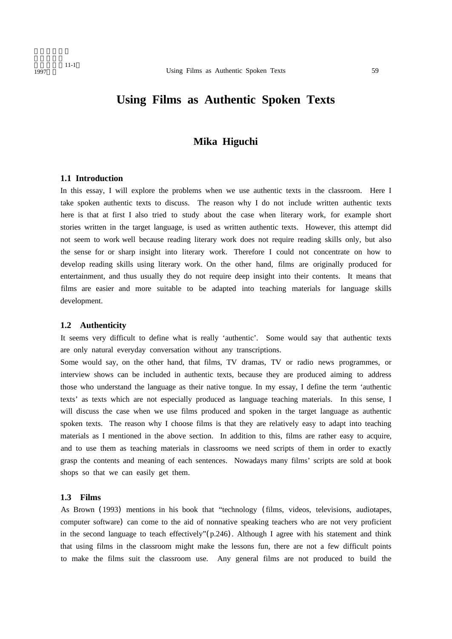# **Using Films as Authentic Spoken Texts**

# **Mika Higuchi**

# **1.1 Introduction**

In this essay, I will explore the problems when we use authentic texts in the classroom. Here I take spoken authentic texts to discuss. The reason why I do not include written authentic texts here is that at first I also tried to study about the case when literary work, for example short stories written in the target language, is used as written authentic texts. However, this attempt did not seem to work well because reading literary work does not require reading skills only, but also the sense for or sharp insight into literary work. Therefore I could not concentrate on how to develop reading skills using literary work. On the other hand, films are originally produced for entertainment, and thus usually they do not require deep insight into their contents. It means that films are easier and more suitable to be adapted into teaching materials for language skills development.

# **1.2 Authenticity**

It seems very difficult to define what is really 'authentic'. Some would say that authentic texts are only natural everyday conversation without any transcriptions.

Some would say, on the other hand, that films, TV dramas, TV or radio news programmes, or interview shows can be included in authentic texts, because they are produced aiming to address those who understand the language as their native tongue. In my essay, I define the term 'authentic texts' as texts which are not especially produced as language teaching materials. In this sense, I will discuss the case when we use films produced and spoken in the target language as authentic spoken texts. The reason why I choose films is that they are relatively easy to adapt into teaching materials as I mentioned in the above section. In addition to this, films are rather easy to acquire, and to use them as teaching materials in classrooms we need scripts of them in order to exactly grasp the contents and meaning of each sentences. Nowadays many films' scripts are sold at book shops so that we can easily get them.

## **1.3 Films**

As Brown (1993) mentions in his book that "technology (films, videos, televisions, audiotapes, computer software) can come to the aid of nonnative speaking teachers who are not very proficient in the second language to teach effectively" $(p.246)$ . Although I agree with his statement and think that using films in the classroom might make the lessons fun, there are not a few difficult points to make the films suit the classroom use. Any general films are not produced to build the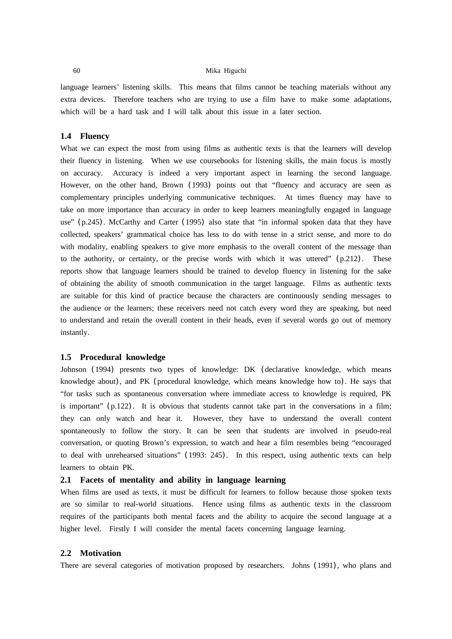language learners' listening skills. This means that films cannot be teaching materials without any extra devices. Therefore teachers who are trying to use a film have to make some adaptations, which will be a hard task and I will talk about this issue in a later section.

## **1.4 Fluency**

What we can expect the most from using films as authentic texts is that the learners will develop their fluency in listening. When we use coursebooks for listening skills, the main focus is mostly on accuracy. Accuracy is indeed a very important aspect in learning the second language. However, on the other hand, Brown (1993) points out that "fluency and accuracy are seen as complementary principles underlying communicative techniques. At times fluency may have to take on more importance than accuracy in order to keep learners meaningfully engaged in language use" (p.245). McCarthy and Carter (1995) also state that "in informal spoken data that they have collected, speakers' grammatical choice has less to do with tense in a strict sense, and more to do with modality, enabling speakers to give more emphasis to the overall content of the message than to the authority, or certainty, or the precise words with which it was uttered"  $(p.212)$ . These reports show that language learners should be trained to develop fluency in listening for the sake of obtaining the ability of smooth communication in the target language. Films as authentic texts are suitable for this kind of practice because the characters are continuously sending messages to the audience or the learners; these receivers need not catch every word they are speaking, but need to understand and retain the overall content in their heads, even if several words go out of memory instantly.

# **1.5 Procedural knowledge**

Johnson (1994) presents two types of knowledge: DK (declarative knowledge, which means knowledge about), and PK (procedural knowledge, which means knowledge how to). He says that "for tasks such as spontaneous conversation where immediate access to knowledge is required, PK is important" (p.122). It is obvious that students cannot take part in the conversations in a film; they can only watch and hear it. However, they have to understand the overall content spontaneously to follow the story. It can be seen that students are involved in pseudo-real conversation, or quoting Brown's expression, to watch and hear a film resembles being "encouraged to deal with unrehearsed situations" (1993: 245). In this respect, using authentic texts can help learners to obtain PK.

# **2.1 Facets of mentality and ability in language learning**

When films are used as texts, it must be difficult for learners to follow because those spoken texts are so similar to real-world situations. Hence using films as authentic texts in the classroom requires of the participants both mental facets and the ability to acquire the second language at a higher level. Firstly I will consider the mental facets concerning language learning.

## **2.2 Motivation**

There are several categories of motivation proposed by researchers. Johns (1991), who plans and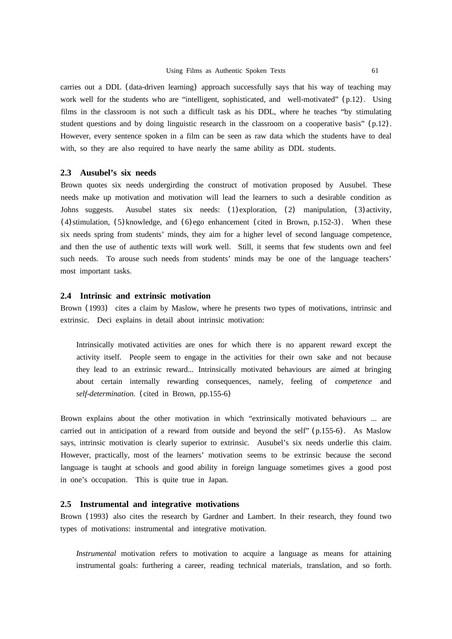carries out a DDL (data-driven learning) approach successfully says that his way of teaching may work well for the students who are "intelligent, sophisticated, and well-motivated" (p.12). Using films in the classroom is not such a difficult task as his DDL, where he teaches "by stimulating student questions and by doing linguistic research in the classroom on a cooperative basis" (p.12). However, every sentence spoken in a film can be seen as raw data which the students have to deal with, so they are also required to have nearly the same ability as DDL students.

# **2.3 Ausubel's six needs**

Brown quotes six needs undergirding the construct of motivation proposed by Ausubel. These needs make up motivation and motivation will lead the learners to such a desirable condition as Johns suggests. Ausubel states six needs: (1)exploration, (2) manipulation, (3)activity,  $(4)$  stimulation,  $(5)$  knowledge, and  $(6)$  ego enhancement (cited in Brown, p.152-3). When these six needs spring from students' minds, they aim for a higher level of second language competence, and then the use of authentic texts will work well. Still, it seems that few students own and feel such needs. To arouse such needs from students' minds may be one of the language teachers' most important tasks.

# **2.4 Intrinsic and extrinsic motivation**

Brown (1993) cites a claim by Maslow, where he presents two types of motivations, intrinsic and extrinsic. Deci explains in detail about intrinsic motivation:

Intrinsically motivated activities are ones for which there is no apparent reward except the activity itself. People seem to engage in the activities for their own sake and not because they lead to an extrinsic reward... Intrinsically motivated behaviours are aimed at bringing about certain internally rewarding consequences, namely, feeling of *competence* and *self-determination.* (cited in Brown, pp.155-6)

Brown explains about the other motivation in which "extrinsically motivated behaviours ... are carried out in anticipation of a reward from outside and beyond the self" (p.155-6). As Maslow says, intrinsic motivation is clearly superior to extrinsic. Ausubel's six needs underlie this claim. However, practically, most of the learners' motivation seems to be extrinsic because the second language is taught at schools and good ability in foreign language sometimes gives a good post in one's occupation. This is quite true in Japan.

#### **2.5 Instrumental and integrative motivations**

Brown (1993) also cites the research by Gardner and Lambert. In their research, they found two types of motivations: instrumental and integrative motivation.

*Instrumental* motivation refers to motivation to acquire a language as means for attaining instrumental goals: furthering a career, reading technical materials, translation, and so forth.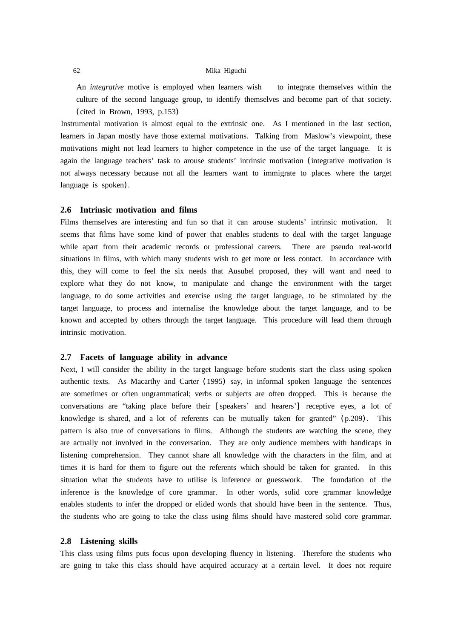An *integrative* motive is employed when learners wish to integrate themselves within the culture of the second language group, to identify themselves and become part of that society. (cited in Brown, 1993, p.153)

Instrumental motivation is almost equal to the extrinsic one. As I mentioned in the last section, learners in Japan mostly have those external motivations. Talking from Maslow's viewpoint, these motivations might not lead learners to higher competence in the use of the target language. It is again the language teachers' task to arouse students' intrinsic motivation (integrative motivation is not always necessary because not all the learners want to immigrate to places where the target language is spoken).

## **2.6 Intrinsic motivation and films**

Films themselves are interesting and fun so that it can arouse students' intrinsic motivation. It seems that films have some kind of power that enables students to deal with the target language while apart from their academic records or professional careers. There are pseudo real-world situations in films, with which many students wish to get more or less contact. In accordance with this, they will come to feel the six needs that Ausubel proposed, they will want and need to explore what they do not know, to manipulate and change the environment with the target language, to do some activities and exercise using the target language, to be stimulated by the target language, to process and internalise the knowledge about the target language, and to be known and accepted by others through the target language. This procedure will lead them through intrinsic motivation.

# **2.7 Facets of language ability in advance**

Next, I will consider the ability in the target language before students start the class using spoken authentic texts. As Macarthy and Carter (1995) say, in informal spoken language the sentences are sometimes or often ungrammatical; verbs or subjects are often dropped. This is because the conversations are "taking place before their [speakers' and hearers'] receptive eyes, a lot of knowledge is shared, and a lot of referents can be mutually taken for granted" (p.209). This pattern is also true of conversations in films. Although the students are watching the scene, they are actually not involved in the conversation. They are only audience members with handicaps in listening comprehension. They cannot share all knowledge with the characters in the film, and at times it is hard for them to figure out the referents which should be taken for granted. In this situation what the students have to utilise is inference or guesswork. The foundation of the inference is the knowledge of core grammar. In other words, solid core grammar knowledge enables students to infer the dropped or elided words that should have been in the sentence. Thus, the students who are going to take the class using films should have mastered solid core grammar.

# **2.8 Listening skills**

This class using films puts focus upon developing fluency in listening. Therefore the students who are going to take this class should have acquired accuracy at a certain level. It does not require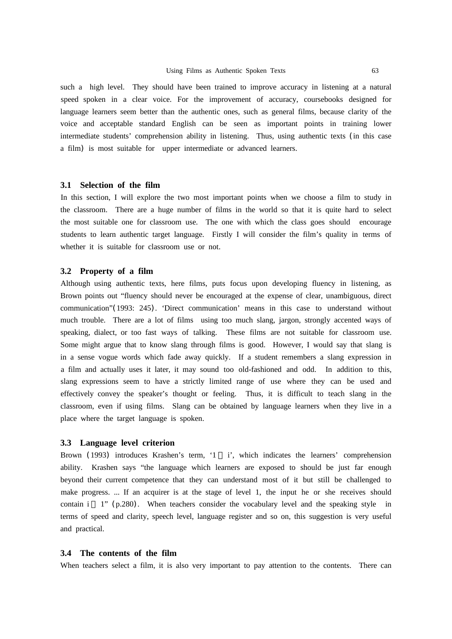such a high level. They should have been trained to improve accuracy in listening at a natural speed spoken in a clear voice. For the improvement of accuracy, coursebooks designed for language learners seem better than the authentic ones, such as general films, because clarity of the voice and acceptable standard English can be seen as important points in training lower intermediate students' comprehension ability in listening. Thus, using authentic texts (in this case a film) is most suitable for upper intermediate or advanced learners.

### **3.1 Selection of the film**

In this section, I will explore the two most important points when we choose a film to study in the classroom. There are a huge number of films in the world so that it is quite hard to select the most suitable one for classroom use. The one with which the class goes should encourage students to learn authentic target language. Firstly I will consider the film's quality in terms of whether it is suitable for classroom use or not.

# **3.2 Property of a film**

Although using authentic texts, here films, puts focus upon developing fluency in listening, as Brown points out "fluency should never be encouraged at the expense of clear, unambiguous, direct communication"(1993: 245). 'Direct communication' means in this case to understand without much trouble. There are a lot of films using too much slang, jargon, strongly accented ways of speaking, dialect, or too fast ways of talking. These films are not suitable for classroom use. Some might argue that to know slang through films is good. However, I would say that slang is in a sense vogue words which fade away quickly. If a student remembers a slang expression in a film and actually uses it later, it may sound too old-fashioned and odd. In addition to this, slang expressions seem to have a strictly limited range of use where they can be used and effectively convey the speaker's thought or feeling. Thus, it is difficult to teach slang in the classroom, even if using films. Slang can be obtained by language learners when they live in a place where the target language is spoken.

#### **3.3 Language level criterion**

Brown (1993) introduces Krashen's term, '1 i', which indicates the learners' comprehension ability. Krashen says "the language which learners are exposed to should be just far enough beyond their current competence that they can understand most of it but still be challenged to make progress. ... If an acquirer is at the stage of level 1, the input he or she receives should contain i 1" (p.280). When teachers consider the vocabulary level and the speaking style in terms of speed and clarity, speech level, language register and so on, this suggestion is very useful and practical.

# **3.4 The contents of the film**

When teachers select a film, it is also very important to pay attention to the contents. There can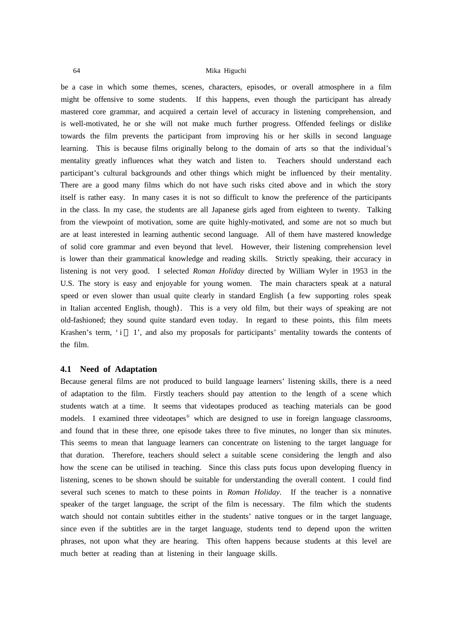be a case in which some themes, scenes, characters, episodes, or overall atmosphere in a film might be offensive to some students. If this happens, even though the participant has already mastered core grammar, and acquired a certain level of accuracy in listening comprehension, and is well-motivated, he or she will not make much further progress. Offended feelings or dislike towards the film prevents the participant from improving his or her skills in second language learning. This is because films originally belong to the domain of arts so that the individual's mentality greatly influences what they watch and listen to. Teachers should understand each participant's cultural backgrounds and other things which might be influenced by their mentality. There are a good many films which do not have such risks cited above and in which the story itself is rather easy. In many cases it is not so difficult to know the preference of the participants in the class. In my case, the students are all Japanese girls aged from eighteen to twenty. Talking from the viewpoint of motivation, some are quite highly-motivated, and some are not so much but are at least interested in learning authentic second language. All of them have mastered knowledge of solid core grammar and even beyond that level. However, their listening comprehension level is lower than their grammatical knowledge and reading skills. Strictly speaking, their accuracy in listening is not very good. I selected *Roman Holiday* directed by William Wyler in 1953 in the U.S. The story is easy and enjoyable for young women. The main characters speak at a natural speed or even slower than usual quite clearly in standard English (a few supporting roles speak in Italian accented English, though). This is a very old film, but their ways of speaking are not old-fashioned; they sound quite standard even today. In regard to these points, this film meets Krashen's term,  $i \in I'$ , and also my proposals for participants' mentality towards the contents of the film.

# **4.1 Need of Adaptation**

Because general films are not produced to build language learners' listening skills, there is a need of adaptation to the film. Firstly teachers should pay attention to the length of a scene which students watch at a time. It seems that videotapes produced as teaching materials can be good models. I examined three videotapes which are designed to use in foreign language classrooms, and found that in these three, one episode takes three to five minutes, no longer than six minutes. This seems to mean that language learners can concentrate on listening to the target language for that duration. Therefore, teachers should select a suitable scene considering the length and also how the scene can be utilised in teaching. Since this class puts focus upon developing fluency in listening, scenes to be shown should be suitable for understanding the overall content. I could find several such scenes to match to these points in *Roman Holiday*. If the teacher is a nonnative speaker of the target language, the script of the film is necessary. The film which the students watch should not contain subtitles either in the students' native tongues or in the target language, since even if the subtitles are in the target language, students tend to depend upon the written phrases, not upon what they are hearing. This often happens because students at this level are much better at reading than at listening in their language skills.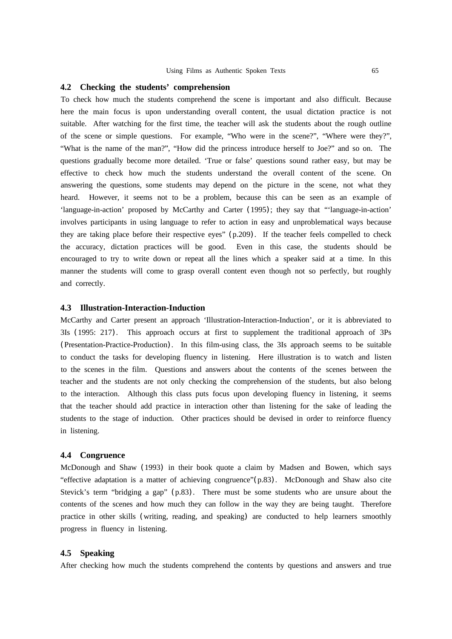## **4.2 Checking the students' comprehension**

To check how much the students comprehend the scene is important and also difficult. Because here the main focus is upon understanding overall content, the usual dictation practice is not suitable. After watching for the first time, the teacher will ask the students about the rough outline of the scene or simple questions. For example, "Who were in the scene?", "Where were they?", "What is the name of the man?", "How did the princess introduce herself to Joe?" and so on. The questions gradually become more detailed. 'True or false' questions sound rather easy, but may be effective to check how much the students understand the overall content of the scene. On answering the questions, some students may depend on the picture in the scene, not what they heard. However, it seems not to be a problem, because this can be seen as an example of 'language-in-action' proposed by McCarthy and Carter (1995); they say that "'language-in-action' involves participants in using language to refer to action in easy and unproblematical ways because they are taking place before their respective eyes" (p.209). If the teacher feels compelled to check the accuracy, dictation practices will be good. Even in this case, the students should be encouraged to try to write down or repeat all the lines which a speaker said at a time. In this manner the students will come to grasp overall content even though not so perfectly, but roughly and correctly.

## **4.3 Illustration-Interaction-Induction**

McCarthy and Carter present an approach 'Illustration-Interaction-Induction', or it is abbreviated to 3Is (1995: 217). This approach occurs at first to supplement the traditional approach of 3Ps (Presentation-Practice-Production). In this film-using class, the 3Is approach seems to be suitable to conduct the tasks for developing fluency in listening. Here illustration is to watch and listen to the scenes in the film. Questions and answers about the contents of the scenes between the teacher and the students are not only checking the comprehension of the students, but also belong to the interaction. Although this class puts focus upon developing fluency in listening, it seems that the teacher should add practice in interaction other than listening for the sake of leading the students to the stage of induction. Other practices should be devised in order to reinforce fluency in listening.

## **4.4 Congruence**

McDonough and Shaw (1993) in their book quote a claim by Madsen and Bowen, which says "effective adaptation is a matter of achieving congruence"(p.83). McDonough and Shaw also cite Stevick's term "bridging a gap" (p.83). There must be some students who are unsure about the contents of the scenes and how much they can follow in the way they are being taught. Therefore practice in other skills (writing, reading, and speaking) are conducted to help learners smoothly progress in fluency in listening.

#### **4.5 Speaking**

After checking how much the students comprehend the contents by questions and answers and true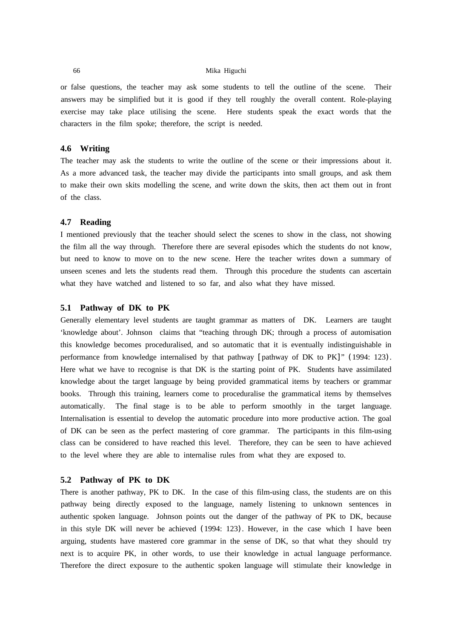or false questions, the teacher may ask some students to tell the outline of the scene. Their answers may be simplified but it is good if they tell roughly the overall content. Role-playing exercise may take place utilising the scene. Here students speak the exact words that the characters in the film spoke; therefore, the script is needed.

# **4.6 Writing**

The teacher may ask the students to write the outline of the scene or their impressions about it. As a more advanced task, the teacher may divide the participants into small groups, and ask them to make their own skits modelling the scene, and write down the skits, then act them out in front of the class.

## **4.7 Reading**

I mentioned previously that the teacher should select the scenes to show in the class, not showing the film all the way through. Therefore there are several episodes which the students do not know, but need to know to move on to the new scene. Here the teacher writes down a summary of unseen scenes and lets the students read them. Through this procedure the students can ascertain what they have watched and listened to so far, and also what they have missed.

## **5.1 Pathway of DK to PK**

Generally elementary level students are taught grammar as matters of DK. Learners are taught 'knowledge about'. Johnson claims that "teaching through DK; through a process of automisation this knowledge becomes proceduralised, and so automatic that it is eventually indistinguishable in performance from knowledge internalised by that pathway [pathway of DK to PK]" (1994: 123). Here what we have to recognise is that DK is the starting point of PK. Students have assimilated knowledge about the target language by being provided grammatical items by teachers or grammar books. Through this training, learners come to proceduralise the grammatical items by themselves automatically. The final stage is to be able to perform smoothly in the target language. Internalisation is essential to develop the automatic procedure into more productive action. The goal of DK can be seen as the perfect mastering of core grammar. The participants in this film-using class can be considered to have reached this level. Therefore, they can be seen to have achieved to the level where they are able to internalise rules from what they are exposed to.

# **5.2 Pathway of PK to DK**

There is another pathway, PK to DK. In the case of this film-using class, the students are on this pathway being directly exposed to the language, namely listening to unknown sentences in authentic spoken language. Johnson points out the danger of the pathway of PK to DK, because in this style DK will never be achieved (1994: 123). However, in the case which I have been arguing, students have mastered core grammar in the sense of DK, so that what they should try next is to acquire PK, in other words, to use their knowledge in actual language performance. Therefore the direct exposure to the authentic spoken language will stimulate their knowledge in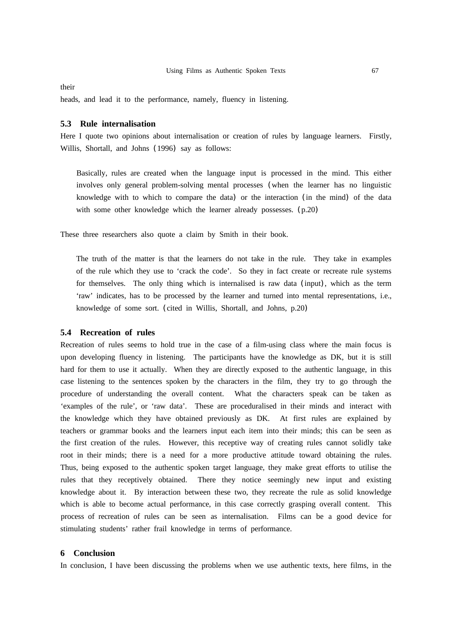their

heads, and lead it to the performance, namely, fluency in listening.

# **5.3 Rule internalisation**

Here I quote two opinions about internalisation or creation of rules by language learners. Firstly, Willis, Shortall, and Johns (1996) say as follows:

Basically, rules are created when the language input is processed in the mind. This either involves only general problem-solving mental processes (when the learner has no linguistic knowledge with to which to compare the data) or the interaction (in the mind) of the data with some other knowledge which the learner already possesses. (p.20)

These three researchers also quote a claim by Smith in their book.

The truth of the matter is that the learners do not take in the rule. They take in examples of the rule which they use to 'crack the code'. So they in fact create or recreate rule systems for themselves. The only thing which is internalised is raw data (input), which as the term 'raw' indicates, has to be processed by the learner and turned into mental representations, i.e., knowledge of some sort. (cited in Willis, Shortall, and Johns, p.20)

# **5.4 Recreation of rules**

Recreation of rules seems to hold true in the case of a film-using class where the main focus is upon developing fluency in listening. The participants have the knowledge as DK, but it is still hard for them to use it actually. When they are directly exposed to the authentic language, in this case listening to the sentences spoken by the characters in the film, they try to go through the procedure of understanding the overall content. What the characters speak can be taken as 'examples of the rule', or 'raw data'. These are proceduralised in their minds and interact with the knowledge which they have obtained previously as DK. At first rules are explained by teachers or grammar books and the learners input each item into their minds; this can be seen as the first creation of the rules. However, this receptive way of creating rules cannot solidly take root in their minds; there is a need for a more productive attitude toward obtaining the rules. Thus, being exposed to the authentic spoken target language, they make great efforts to utilise the rules that they receptively obtained. There they notice seemingly new input and existing knowledge about it. By interaction between these two, they recreate the rule as solid knowledge which is able to become actual performance, in this case correctly grasping overall content. This process of recreation of rules can be seen as internalisation. Films can be a good device for stimulating students' rather frail knowledge in terms of performance.

# **6 Conclusion**

In conclusion, I have been discussing the problems when we use authentic texts, here films, in the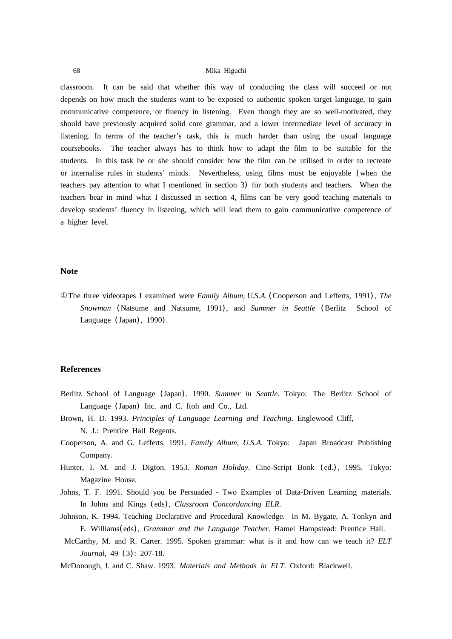classroom. It can be said that whether this way of conducting the class will succeed or not depends on how much the students want to be exposed to authentic spoken target language, to gain communicative competence, or fluency in listening. Even though they are so well-motivated, they should have previously acquired solid core grammar, and a lower intermediate level of accuracy in listening. In terms of the teacher's task, this is much harder than using the usual language coursebooks. The teacher always has to think how to adapt the film to be suitable for the students. In this task he or she should consider how the film can be utilised in order to recreate or internalise rules in students' minds. Nevertheless, using films must be enjoyable (when the teachers pay attention to what I mentioned in section 3) for both students and teachers. When the teachers bear in mind what I discussed in section 4, films can be very good teaching materials to develop students' fluency in listening, which will lead them to gain communicative competence of a higher level.

# **Note**

The three videotapes I examined were *Family Album, U.S.A.* (Cooperson and Lefferts, 1991), *The Snowman* (Natsume and Natsume, 1991), and *Summer in Seattle* (Berlitz School of Language (Japan), 1990).

# **References**

- Berlitz School of Language (Japan). 1990. *Summer in Seattle*. Tokyo: The Berlitz School of Language (Japan) Inc. and C. Itoh and Co., Ltd.
- Brown, H. D. 1993. *Principles of Language Learning and Teaching*. Englewood Cliff, N. J.: Prentice Hall Regents.
- Cooperson, A. and G. Lefferts. 1991. *Family Album, U.S.A*. Tokyo: Japan Broadcast Publishing Company.
- Hunter, I. M. and J. Digton. 1953. *Roman Holiday*. Cine-Script Book (ed.), 1995. Tokyo: Magazine House.
- Johns, T. F. 1991. Should you be Persuaded Two Examples of Data-Driven Learning materials. In Johns and Kings (eds), *Classroom Concordancing ELR*.
- Johnson, K. 1994. Teaching Declarative and Procedural Knowledge. In M. Bygate, A. Tonkyn and E. Williams(eds), *Grammar and the Language Teacher*. Hamel Hampstead: Prentice Hall.
- McCarthy, M. and R. Carter. 1995. Spoken grammar: what is it and how can we teach it? *ELT Journal*, 49 (3): 207-18.
- McDonough, J. and C. Shaw. 1993. *Materials and Methods in ELT*. Oxford: Blackwell.